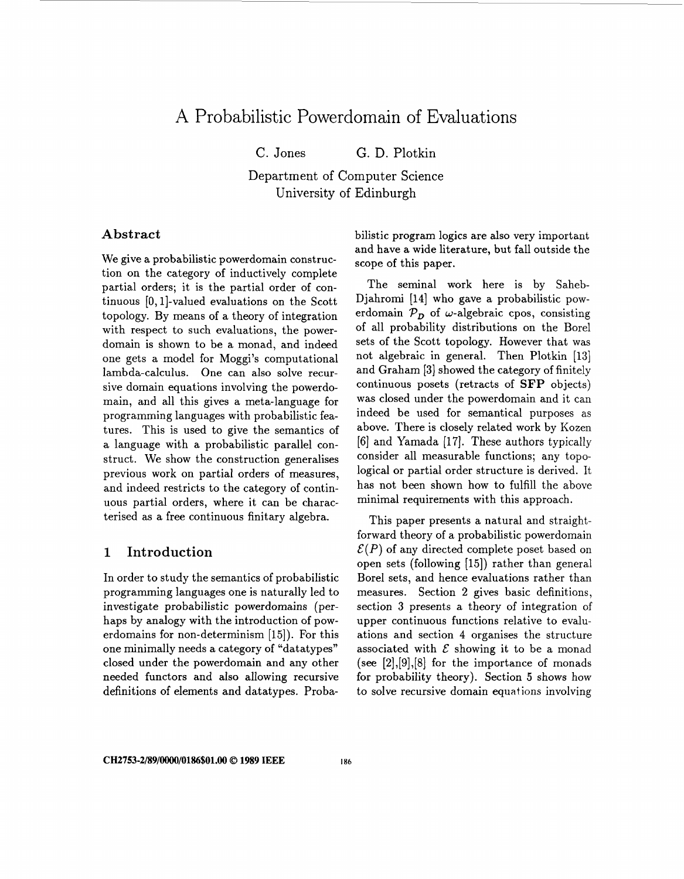# A Probabilistic Powerdomain of Evaluations

C. Jones G. D. Plotkin

Department of Computer Science University of Edinburgh

#### **Abstract**

We give a probabilistic powerdomain construction on the category of inductively complete partial orders; it is the partial order of continuous  $[0, 1]$ -valued evaluations on the Scott topology. By means of a theory of integration with respect to such evaluations, the powerdomain is shown to be a monad, and indeed one gets a model for Moggi's computational lambda-calculus. One can also solve recursive domain equations involving the powerdomain, and all this gives a meta-language for programming languages with probabilistic features. This is used to give the semantics of a language with a probabilistic parallel construct. We show the construction generalises previous work on partial orders of measures, and indeed restricts to the category of continuous partial orders, where it can be characterised as a free continuous finitary algebra.

## **1 Introduction**

In order to study the semantics of probabilistic programming languages one is naturally led to investigate probabilistic powerdomains (perhaps by analogy with the introduction of powerdomains for non-determinism [15]). For this one minimally needs a category of "datatypes" closed under the powerdomain and any other needed functors and also allowing recursive definitions of elements and datatypes. Probabilistic program logics are also very important and have a wide literature, but fall outside the scope of this paper.

The seminal work here is by Saheb-Djahromi [14] who gave a probabilistic powerdomain  $P_D$  of w-algebraic cpos, consisting of all probability distributions on the Borel sets of the Scott topology. However that was not algebraic in general. Then Plotkin [13] and Graham **[3]** showed the category of finitely continuous posets (retracts of **SFP** objects) was closed under the powerdomain and it can indeed be used for semantical purposes as above. There is closely related work by Kozen [6] and Yamada [17]. These authors typically consider all measurable functions; any topological or partial order structure is derived. It has not been shown how to fulfill the above minimal requirements with this approach.

This paper presents a natural and straightforward theory of a probabilistic powerdomain  $\mathcal{E}(P)$  of any directed complete poset based on open sets (following [15]) rather than general Borel sets, and hence evaluations rather than measures. Section 2 gives basic definitions, section **3** presents a theory of integration of upper continuous functions relative to evaluations and section **4** organises the structure associated with  $\mathcal E$  showing it to be a monad (see [2],[9],[8] for the importance of monads for probability theory). Section *5* shows how to solve recursive domain equations involving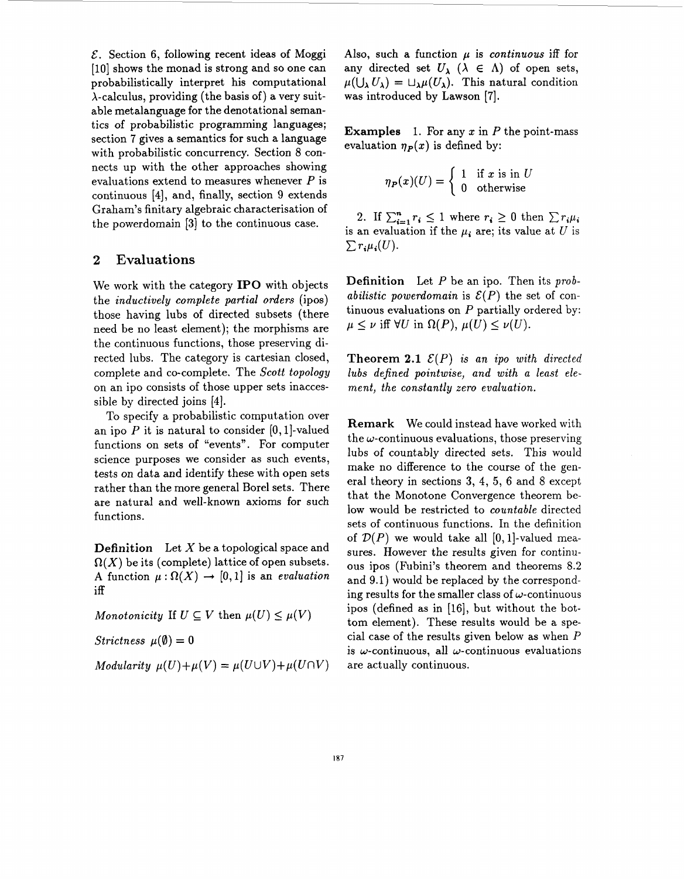*E.* Section 6, following recent ideas of Moggi [10] shows the monad is strong and so one can probabilistically interpret his computational  $\lambda$ -calculus, providing (the basis of) a very suitable metalanguage for the denotational semantics of probabilistic programming languages; section 7 gives a semantics for such a language with probabilistic concurrency. Section 8 connects up with the other approaches showing evaluations extend to measures whenever *P* is continuous **[4],** and, finally, section 9 extends Graham's finitary algebraic characterisation of the powerdomain **[3]** to the continuous case.

#### **2 Evaluations**

We work with the category **IPO** with objects the *inductively complete partial orders* (ipos) those having lubs of directed subsets (there need be no least element); the morphisms are the continuous functions, those preserving directed lubs. The category is cartesian closed, complete and co-complete. The *Scott topology*  on an ipo consists of those upper sets inaccessible by directed joins **[4].** 

To specify a probabilistic computation over an ipo  $P$  it is natural to consider  $[0,1]$ -valued functions on sets of "events". For computer science purposes we consider as such events, tests on data and identify these with open sets rather than the more general Borel sets. There are natural and well-known axioms for such functions.

**Definition** Let *X* be a topological space and  $\Omega(X)$  be its (complete) lattice of open subsets. A function  $\mu : \Omega(X) \to [0, 1]$  is an *evaluation* iff

*Monotonicity* If  $U \subseteq V$  then  $\mu(U) \leq \mu(V)$ 

*Strictness*  $\mu(\emptyset) = 0$ 

*Modularity*  $\mu(U)+\mu(V) = \mu(U\cup V)+\mu(U\cap V)$ 

Also, such a function  $\mu$  is *continuous* iff for any directed set  $U_{\lambda}$  ( $\lambda \in \Lambda$ ) of open sets,  $\mu(\bigcup_{\lambda} U_{\lambda}) = \bigcup_{\lambda} \mu(U_{\lambda}).$  This natural condition was introduced by Lawson [7].

**Examples**  1. For any *x* in *P* the point-mass evaluation  $\eta_P(x)$  is defined by:

$$
\eta_P(x)(U) = \begin{cases} 1 & \text{if } x \text{ is in } U \\ 0 & \text{otherwise} \end{cases}
$$

2. If  $\sum_{i=1}^{n} r_i \le 1$  where  $r_i \ge 0$  then  $\sum r_i \mu_i$ is an evaluation if the  $\mu_i$  are; its value at U is  $\sum r_i \mu_i(U)$ .

**Definition** Let *P* be an ipo. Then its *probabilistic powerdomain* is  $\mathcal{E}(P)$  the set of continuous evaluations on *P* partially ordered by:  $\mu \leq \nu$  iff  $\forall U$  in  $\Omega(P)$ ,  $\mu(U) \leq \nu(U)$ .

**Theorem 2.1**  $\mathcal{E}(P)$  is an ipo with directed *lubs defined pointwise, and with a least element, the constantly zero evaluation.* 

**Remark** We could instead have worked with the  $\omega$ -continuous evaluations, those preserving lubs of countably directed sets. This would make no difference to the course of the general theory in sections **3, 4,** *5,* 6 and 8 except that the Monotone Convergence theorem below would be restricted to *countable* directed sets of continuous functions. In the definition of  $\mathcal{D}(P)$  we would take all  $[0,1]$ -valued measures. However the results given for continuous ipos (Fubini's theorem and theorems 8.2 and 9.1) would be replaced by the corresponding results for the smaller class of  $\omega$ -continuous ipos (defined as in [16], but without the bottom element). These results would be a special case of the results given below as when *P*  is  $\omega$ -continuous, all  $\omega$ -continuous evaluations are actually continuous.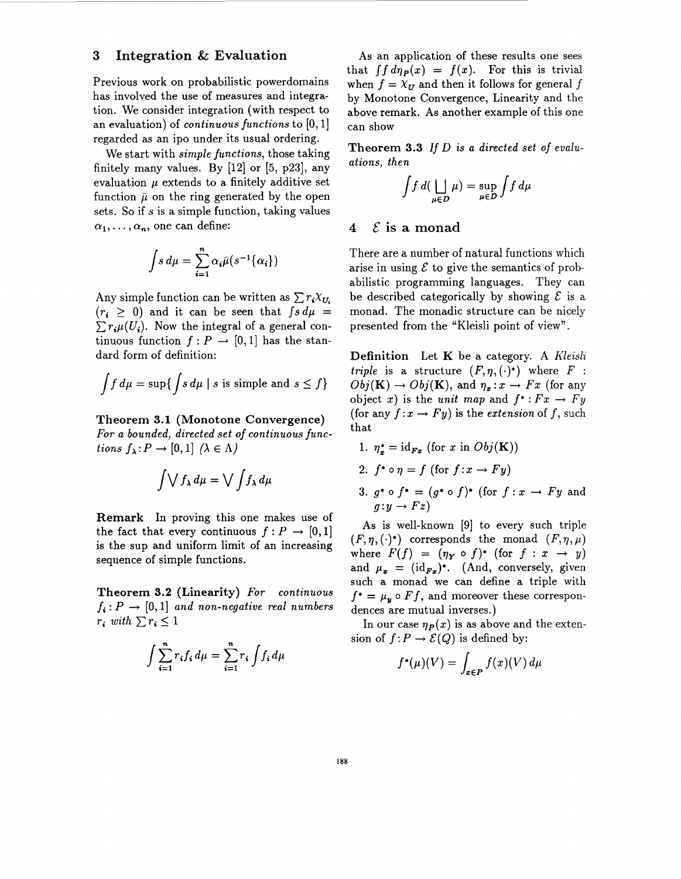#### **3 Integration** & **Evaluation**

Previous work on probabilistic powerdomains has involved the use of measures and integration. We consider integration (with respect to an evaluation) of *continuous functions* to **[O,1]**  regarded as an ipo under its usual ordering.

We start with *simple functions,* those taking finitely many values. By  $[12]$  or  $[5, p23]$ , any evaluation  $\mu$  extends to a finitely additive set function  $\bar{\mu}$  on the ring generated by the open sets. So if  $s$  is a simple function, taking values  $\alpha_1, \ldots, \alpha_n$ , one can define:

$$
\int s \, d\mu = \sum_{i=1}^n \alpha_i \bar{\mu}(s^{-1}\{\alpha_i\})
$$

Any simple function can be written as  $\sum r_i X_{U_i}$  $(r_i \geq 0)$  and it can be seen that  $\int s d\mu =$  $\sum r_i \mu(U_i)$ . Now the integral of a general continuous function  $f: P \rightarrow [0,1]$  has the standard form of definition:

$$
\int f d\mu = \sup \{ \int s d\mu \mid s \text{ is simple and } s \le f \}
$$

#### **Theorem 3.1 (Monotone Convergence)**

*For a bounded, directed set of continuous functions*  $f_{\lambda}: P \to [0,1]$   $(\lambda \in \Lambda)$ 

$$
\int \bigvee f_{\lambda} d\mu = \bigvee \int f_{\lambda} d\mu
$$

**Remark** In proving this one makes use of the fact that every continuous  $f: P \to [0,1]$ is the sup and uniform limit of an increasing sequence of simple functions.

**Theorem 3.2 (Linearity)** *For continuous*   $f_i: P \rightarrow [0,1]$  and non-negative real numbers  $r_i \text{ with } \sum r_i \leq 1$ 

$$
\int \sum_{i=1}^{n} r_i f_i d\mu = \sum_{i=1}^{n} r_i \int f_i d\mu
$$

As an application of these results one sees that  $\int f d\eta_P(x) = f(x)$ . For this is trivial when  $f = X_{II}$  and then it follows for general f by Monotone Convergence, Linearity and the above remark. **As** another example of this one can show

**Theorem 3.3** *If D is a directed set of evaluations, then* 

$$
\int f \, d(\bigsqcup_{\mu \in D} \mu) = \sup_{\mu \in D} \int f \, d\mu
$$

# 4  $\mathcal E$  is a monad

There are a number of natural functions which arise in using  $\mathcal E$  to give the semantics of probabilistic programming languages. They can be described categorically by showing  $\mathcal E$  is a monad. The monadic structure can be nicely presented from the "Kleisli point of view".

**Definition** Let **K** be a category. A *Kleisli triple* is a structure  $(F, \eta, (\cdot)^*)$  where *F* :  $Obj(\mathbf{K}) \rightarrow Obj(\mathbf{K})$ , and  $\eta_x: x \rightarrow Fx$  (for any object *x*) is the *unit map* and  $f^*:Fx\rightarrow Fy$ (for any  $f: x \to Fy$ ) is the *extension* of f, such that

- 1.  $\eta_*^* = \mathrm{id}_{F_x}$  (for *x* in  $Obj(\mathbf{K}))$
- 2.  $f^* \circ \eta = f$  (for  $f: x \to Fy$ )
- 3.  $g^* \circ f^* = (g^* \circ f)^*$  (for  $f: x \to Fy$  and  $q: y \rightarrow Fz$

As is well-known **[9]** to every such triple  $(F, \eta, (\cdot)^*)$  corresponds the monad  $(F, \eta, \mu)$ where  $F(f) = (\eta_Y \circ f)^*$  (for  $f: x \to y$ ) and  $\mu_x = (\mathrm{id}_{F_x})^*$ . (And, conversely, given such a monad we can define a triple with  $f^* = \mu_y \circ Ff$ , and moreover these correspondences are mutual inverses.)

In our case  $\eta_P(x)$  is as above and the extension of  $f: P \to \mathcal{E}(Q)$  is defined by:

$$
f^{\star}(\mu)(V) = \int_{x \in P} f(x)(V) d\mu
$$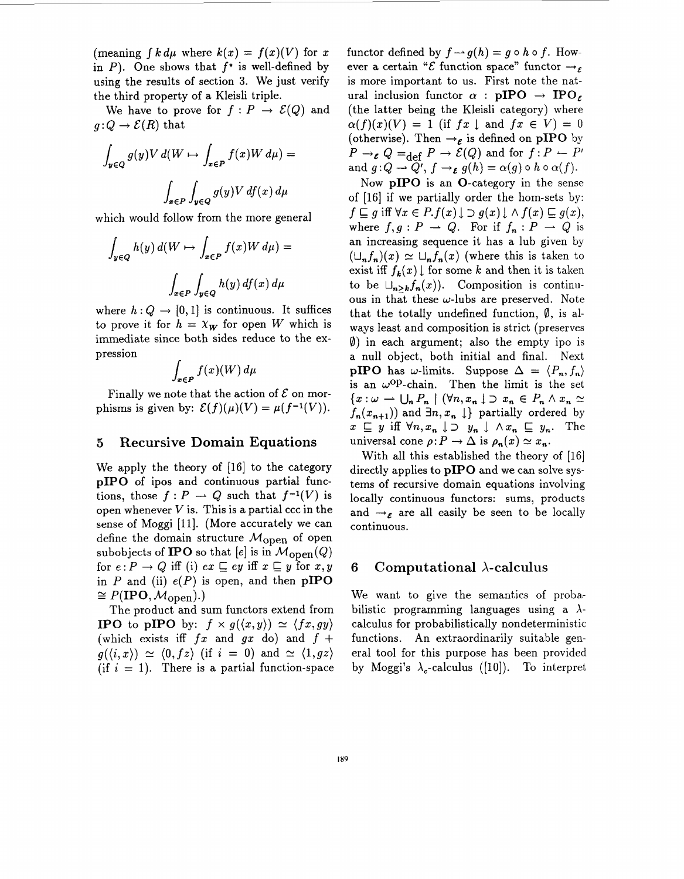(meaning  $\int k \, d\mu$  where  $k(x) = f(x)(V)$  for x in P). One shows that *f\** is well-defined by using the results of section **3.** We just verify the third property of a Kleisli triple.

We have to prove for  $f: P \to \mathcal{E}(Q)$  and  $q:Q\to \mathcal{E}(R)$  that

$$
\int_{y \in Q} g(y) V d(W \mapsto \int_{x \in P} f(x) W d\mu) =
$$
  

$$
\int_{x \in P} \int_{y \in Q} g(y) V df(x) d\mu
$$

which would follow from the more general

$$
\int_{y \in Q} h(y) d(W \mapsto \int_{x \in P} f(x)W d\mu) =
$$
  

$$
\int_{x \in P} \int_{y \in Q} h(y) df(x) d\mu
$$

where  $h: Q \to [0, 1]$  is continuous. It suffices to prove it for  $h = \chi_W$  for open *W* which is immediate since both sides reduce to the expression *<sup>r</sup>*

$$
\int_{x\in P} f(x)(W)\,d\mu
$$

Finally we note that the action of  $\mathcal E$  on morphisms is given by:  $\mathcal{E}(f)(\mu)(V) = \mu(f^{-1}(V)).$ 

#### *5* **Recursive Domain Equations**

We apply the theory of [16] to the category **pIPO** of ipos and continuous partial func-<br>tions, those  $f: P \to Q$  such that  $f^{-1}(V)$  is open whenever  $V$  is. This is a partial ccc in the sense of Moggi [ll]. (More accurately we can define the domain structure  $M_{\rm open}$  of open subobjects of **IPO** so that  $[e]$  is in  $M_{\text{open}}(Q)$ for  $e: P \to Q$  iff (i)  $ex \sqsubseteq ey$  iff  $x \sqsubseteq y$  for  $x, y$ in  $P$  and (ii)  $e(P)$  is open, and then **pIPO**  $\cong P(\text{IPO},\mathcal{M}_{\text{open}}).$ 

The product and sum functors extend from **IPO** to **pIPO** by:  $f \times g(\langle x,y \rangle) \simeq \langle fx, gy \rangle$ (which exists iff  $fx$  and  $gx$  do) and  $f +$  $g(\langle i,x \rangle) \simeq \langle 0,fz \rangle$  (if  $i = 0$ ) and  $\simeq \langle 1,gz \rangle$ (if  $i = 1$ ). There is a partial function-space functor defined by  $f \rightarrow g(h) = g \circ h \circ f$ . However a certain " $\mathcal E$  function space" functor  $\rightarrow \infty$ is more important to us. First note the natural inclusion functor  $\alpha$  : **pIPO**  $\rightarrow$  **IPO**<sub> $\epsilon$ </sub> (the latter being the Kleisli category) where  $\alpha(f)(x)(V) = 1$  (if  $fx \perp$  and  $fx \in V = 0$ (otherwise). Then  $\rightarrow$ <sub>*E*</sub> is defined on **pIPO** by (otherwise). Then  $\rightarrow$  *e* is defined on pIPO by<br>  $P \rightarrow$  *e*  $Q = \text{def } P \rightarrow E(Q)$  and for  $f : P \leftarrow P'$  $P \rightarrow_{\varepsilon} Q =_{\text{def}} P \rightarrow \mathcal{E}(Q)$  and for  $f : P \leftarrow P'$ <br>and  $g:Q \rightarrow Q', f \rightarrow_{\varepsilon} g(h) = \alpha(g) \circ h \circ \alpha(f)$ .

Now **pIPO** is an 0-category in the sense of [16] if we partially order the hom-sets by:<br>  $f \subseteq g$  iff  $\forall x \in P$ . $f(x) \downarrow \supset g(x) \downarrow \wedge f(x) \subseteq g(x)$ ,  $f \sqsubseteq g$  iff  $\forall x \in P$ .  $f(x) \downarrow \supset g(x) \downarrow \wedge f(x) \sqsubseteq g(x)$ ,<br>where  $f, g : P \longrightarrow Q$ . For if  $f_n : P \longrightarrow Q$  is an increasing sequence it has a lub given by  $(\bigcup_{n} f_n)(x) \simeq \bigcup_{n} f_n(x)$  (where this is taken to exist iff  $f_k(x) \downarrow$  for some k and then it is taken to be  $\bigcup_{n>k} f_n(x)$ . Composition is continuous in that these  $\omega$ -lubs are preserved. Note that the totally undefined function,  $\emptyset$ , is always least and composition is strict (preserves **0)** in each argument; also the empty ipo is a null object, both initial and final. Next **pIPO** has w-limits. Suppose  $\Delta = \langle P_n, f_n \rangle$ is an  $\omega$ <sup>Op</sup>-chain. Then the limit is the set  ${x:\omega \rightarrow \bigcup_{n} P_{n} \mid (\forall n, x_{n} \downarrow \supset x_{n} \in P_{n} \land x_{n} \simeq$  $f_n(x_{n+1})$  and  $\exists n, x_n \downarrow$  partially ordered by  $x \subseteq y$  iff  $\forall n, x_n \downarrow \supset y_n \downarrow \land x_n \subseteq y_n$ . The universal cone  $\rho: P \to \Delta$  is  $\rho_n(x) \simeq x_n$ .

With all this established the theory of [16] directly applies to **pIP0** and we can solve systems of recursive domain equations involving locally continuous functors: sums, products and  $\rightarrow_{\mathcal{E}}$  are all easily be seen to be locally continuous.

#### **6 Computational A-calculus**

We want to give the semantics of probabilistic programming languages using a  $\lambda$ calculus for probabilistically nondeterministic functions. An extraordinarily suitable general tool for this purpose has been provided by Moggi's  $\lambda_c$ -calculus ([10]). To interpret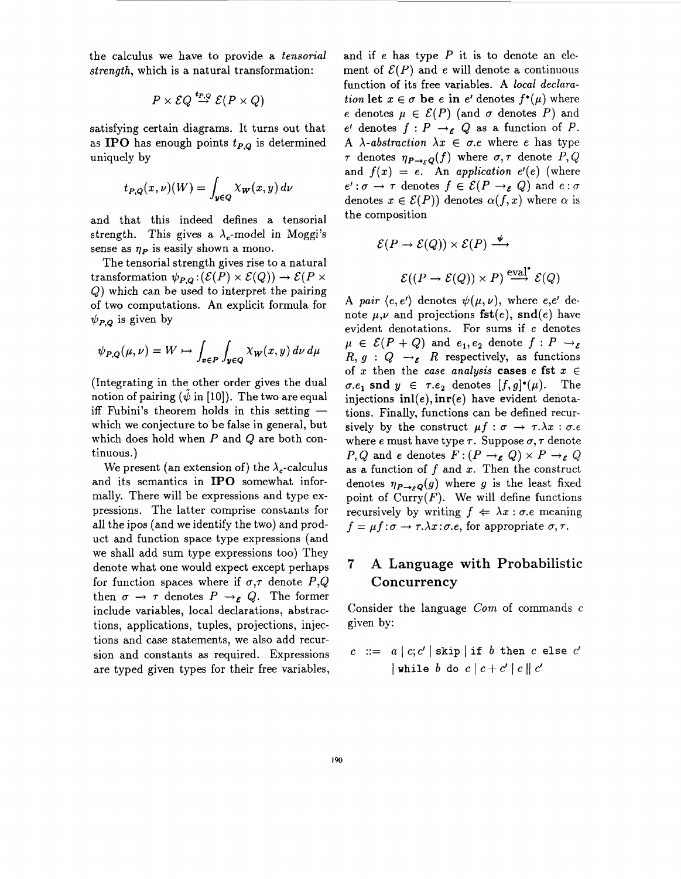the calculus we have to provide a *tensorial strength,* which is a natural transformation:

$$
P \times \mathcal{EQ} \stackrel{\boldsymbol{t}_{P,Q}}{\rightarrow} \mathcal{E}(P \times Q)
$$

satisfying certain diagrams. It turns out that as **IPO** has enough points  $t_{P,Q}$  is determined uniquely by

$$
t_{P,Q}(x,\nu)(W) = \int_{y \in Q} \chi_{W}(x,y) \, d\nu
$$

and that this indeed defines a tensorial strength. This gives a  $\lambda_c$ -model in Moggi's sense as  $\eta_P$  is easily shown a mono.

The tensorial strength gives rise to a natural transformation  $\psi_{P,Q}: (\mathcal{E}(P) \times \mathcal{E}(Q)) \to \mathcal{E}(P \times$ Q) which can be used to interpret the pairing of two computations. An explicit formula for  $\psi_{P,Q}$  is given by

$$
\psi_{P,Q}(\mu,\nu) = W \mapsto \int_{x \in P} \int_{y \in Q} \chi_W(x,y) \, d\nu \, d\mu
$$

(Integrating in the other order gives the dual (Integrating in the other order gives the dual<br>notion of pairing  $(\tilde{\psi}$  in [10]). The two are equal<br>iff Fubini's theorem holds in this setting which we conjecture to be false in general, but which does hold when *P* and Q are both continuous.)

We present (an extension of) the  $\lambda_c$ -calculus and its semantics in **IPO** somewhat informally. There will be expressions and type expressions. The latter comprise constants for all the ipos (and we identify the two) and product and function space type expressions (and we shall add sum type expressions too) They denote what one would expect except perhaps for function spaces where if  $\sigma, \tau$  denote *P*,*Q* then  $\sigma \rightarrow \tau$  denotes  $P \rightarrow_{\varepsilon} Q$ . The former include variables, local declarations, abstractions, applications, tuples, projections, injections and case statements, we also add recursion and constants as required. Expressions are typed given types for their free variables, and if *e* has type *P* it is to denote an element of  $\mathcal{E}(P)$  and *e* will denote a continuous function of its free variables. A *local declurution* **let**  $x \in \sigma$  **be** *e* **in** *e'* denotes  $f^*(\mu)$  where *e* denotes  $\mu \in \mathcal{E}(P)$  (and  $\sigma$  denotes *P*) and  $e'$  denotes  $f: P \rightarrow_{\mathcal{E}} Q$  as a function of *P*. A  $\lambda$ -abstraction  $\lambda x \in \sigma$ .e where *e* has type  $\tau$  denotes  $\eta_{P\rightarrow \epsilon Q}(f)$  where  $\sigma, \tau$  denote  $P, Q$ and  $f(x) = e$ . An *application*  $e'(e)$  (where  $e' : \sigma \to \tau$  denotes  $f \in \mathcal{E}(P \to_{\varepsilon} Q)$  and  $e : \sigma$ denotes  $x \in \mathcal{E}(P)$  denotes  $\alpha(f, x)$  where  $\alpha$  is the composition

$$
\mathcal{E}(P \to \mathcal{E}(Q)) \times \mathcal{E}(P) \xrightarrow{\psi} \mathcal{E}((P \to \mathcal{E}(Q)) \times P) \xrightarrow{\text{eval}^*} \mathcal{E}(Q)
$$

A *pair*  $\langle e, e' \rangle$  denotes  $\psi(\mu, \nu)$ , where  $e, e'$  denote  $\mu, \nu$  and projections **fst**(e), snd(e) have evident denotations. For sums if *e* denotes  $\mu \in \mathcal{E}(P + Q)$  and  $e_1, e_2$  denote  $f : P \rightarrow_{\mathcal{E}}$  $R, g : Q \rightarrow_{\mathcal{E}} R$  respectively, as functions of *x* then the *case analysis* **cases** *e* **fst**  $x \in$  $\sigma.e_1$  snd  $y \in \tau.e_2$  denotes  $[f,g]^*(\mu)$ . The injections **inl(e), inr(e)** have evident denotations. Finally, functions can be defined recursively by the construct  $\mu f : \sigma \to \tau.\lambda x : \sigma.e$ where  $e$  must have type  $\tau$ . Suppose  $\sigma$ ,  $\tau$  denote  $P, Q$  and  $e$  denotes  $F: (P \rightarrow_{e} Q) \times P \rightarrow_{e} Q$ as a function of f and *x.* Then the construct denotes  $\eta_{P\rightarrow \epsilon Q}(g)$  where *g* is the least fixed point of  $Curry(F)$ . We will define functions recursively by writing  $f \Leftrightarrow \lambda x : \sigma.e$  meaning  $f = \mu f : \sigma \to \tau \lambda x : \sigma e$ , for appropriate  $\sigma, \tau$ .

# **7 A Language** with **Probabilistic Concurrency**

Consider the language *Com* of commands *c*  given by:

$$
c ::= a | c; c' | skip | if b then c else c'
$$
  
|while b do c | c + c' | c || c'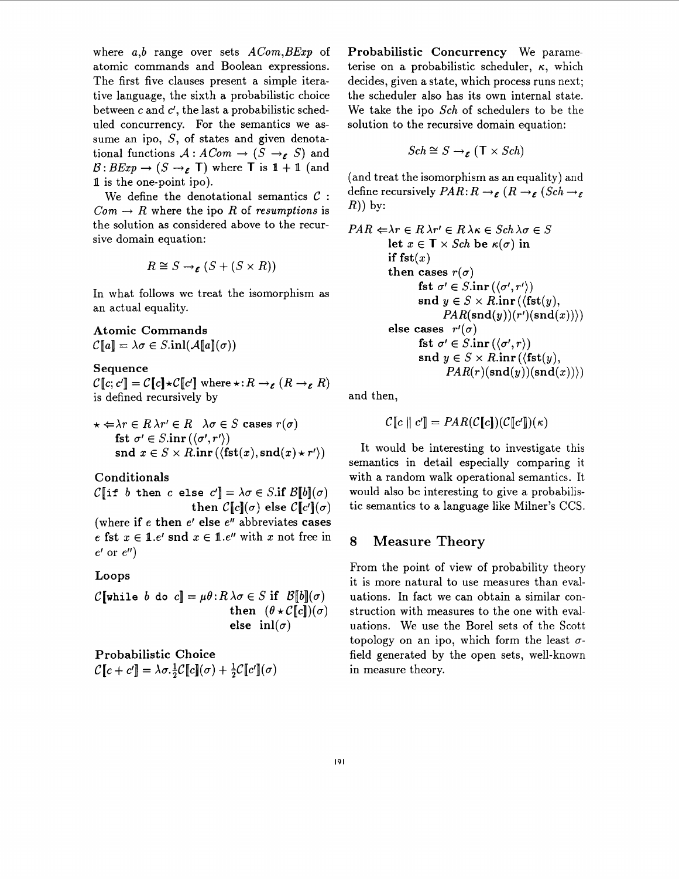where *a,b* range over sets *ACom,BExp* of atomic commands and Boolean expressions. The first five clauses present a simple iterative language, the sixth a probabilistic choice between **c** and *c',* the last a probabilistic scheduled concurrency. For the semantics we assume an ipo, S, of states and given denotational functions  $A: ACom \rightarrow (S \rightarrow_{\mathcal{E}} S)$  and  $\mathcal{B}: BExp \to (S \to_{\mathcal{E}} \mathsf{T})$  where **T** is  $1 + 1$  (and **1** is the one-point ipo).

We define the denotational semantics *C* :  $Com \rightarrow R$  where the ipo R of *resumptions* is the solution as considered above to the recursive domain equation:

$$
R \cong S \rightarrow_{\mathcal{E}} (S + (S \times R))
$$

In what follows we treat the isomorphism as an actual equality.

**Atomic Commands**   $\mathcal{C}[a] = \lambda \sigma \in S.\text{inl}(\mathcal{A}[a](\sigma))$ 

**Sequence** 

 $\mathcal{C}[[c; c]] = \mathcal{C}[[c] \star \mathcal{C}[[c'])$  where  $\star: R \to_{\varepsilon} (R \to_{\varepsilon} R)$ is defined recursively by

$$
\star \Leftarrow \lambda r \in R \lambda r' \in R \quad \lambda \sigma \in S \text{ cases } r(\sigma)
$$
  
fst  $\sigma' \in S.\text{inr } (\langle \sigma', r' \rangle)$   
snd  $x \in S \times R.\text{inr } (\langle \text{fst}(x), \text{snd}(x) \star r' \rangle)$ 

**Conditionals** 

 $\mathcal{C}$  if *b* then *c* else  $c'$  =  $\lambda \sigma \in S$ .if  $\mathcal{B}[b](\sigma)$ **then**  $C[c](\sigma)$  **else**  $C[c](\sigma)$ 

(where **if** e **then** e' **else** e" abbreviates **cases**  e fst  $x \in \mathbb{1}.e'$  and  $x \in \mathbb{1}.e''$  with x not free in e' or *e")* 

#### **Loops**

C[while *b* do  $c$ ] =  $\mu \theta : R \lambda \sigma \in S$  if  $\mathcal{B}[b](\sigma)$ then  $(\theta \star C[c])(\sigma)$ else  $\operatorname{inl}(\sigma)$ 

Probabilistic Choice  $\mathcal{C}[[c+c']] = \lambda \sigma \cdot \frac{1}{2} \mathcal{C}[[c]](\sigma) + \frac{1}{2} \mathcal{C}[[c]](\sigma)$  **Probabilistic Concurrency** We parameterise on a probabilistic scheduler,  $\kappa$ , which decides, given a state, which process runs next; the scheduler also has its own internal state. We take the ipo *Sch* of schedulers to be the solution to the recursive domain equation:

$$
Sch \cong S \rightarrow_{\mathcal{E}} (\mathsf{T} \times Sch)
$$

(and treat the isomorphism as an equality) and define recursively  $PAR: R \rightarrow_{\mathcal{E}} (R \rightarrow_{\mathcal{E}} (Sch \rightarrow_{\mathcal{E}}$ **R))** by:

$$
PAR \Leftarrow \lambda r \in R \lambda r' \in R \lambda \kappa \in Sch \lambda \sigma \in S
$$
  
let  $x \in T \times Sch$  be  $\kappa(\sigma)$  in  
if  $fst(x)$   
then cases  $r(\sigma)$   
fst  $\sigma' \in S.\text{inr}(\langle \sigma', r' \rangle)$   
snd  $y \in S \times R.\text{inr}(\langle st(y),$   
 $PAR(snd(y))(r')(snd(x))\rangle)$   
else cases  $r'(\sigma)$   
fst  $\sigma' \in S.\text{inr}(\langle \sigma', r \rangle)$   
snd  $y \in S \times R.\text{inr}(\langle st(y),$   
 $PAR(r)(snd(y))(snd(x))\rangle)$ 

and then,

$$
\mathcal{C}[[c]] \ c'] = PAR(\mathcal{C}[c])(\mathcal{C}[[c']](\kappa))
$$

It would be interesting to investigate this semantics in detail especially comparing it with a random walk operational semantics. It would also be interesting to give a probabilistic semantics to a language like Milner's CCS.

### **8 Measure Theory**

From the point of view of probability theory it is more natural to use measures than evaluations. In fact we can obtain a similar construction with measures to the one with evaluations. We use the Bore1 sets of the Scott topology on an ipo, which form the least  $\sigma$ field generated by the open sets, well-known in measure theory.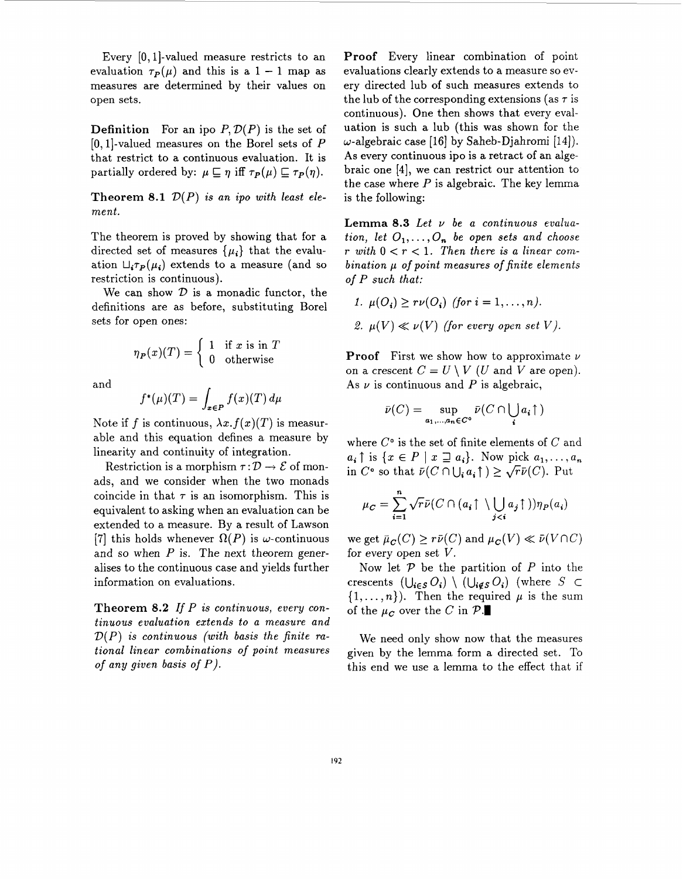Every  $[0, 1]$ -valued measure restricts to an evaluation  $\tau_P(\mu)$  and this is a 1 - 1 map as measures are determined by their values on open sets.

**Definition** For an ipo  $P, \mathcal{D}(P)$  is the set of [O,l]-valued measures on the Borel sets of *P*  that restrict to a continuous evaluation. It is partially ordered by:  $\mu \sqsubseteq \eta$  iff  $\tau_P(\mu) \sqsubseteq \tau_P(\eta)$ .

**Theorem 8.1**  $\mathcal{D}(P)$  *is an ipo with least element.* 

The theorem is proved by showing that for a directed set of measures  $\{\mu_i\}$  that the evaluation  $\mathcal{L}_i \tau_P(\mu_i)$  extends to a measure (and so restriction is continuous).

We can show  $D$  is a monadic functor, the definitions are as before, substituting Borel sets for open ones:

$$
\eta_P(x)(T) = \begin{cases} 1 & \text{if } x \text{ is in } T \\ 0 & \text{otherwise} \end{cases}
$$

and

$$
f^{\ast}(\mu)(T) = \int_{\mathbf{x} \in \mathbf{P}} f(x)(T) \, d\mu
$$

Note if f is continuous,  $\lambda x.f(x)(T)$  is measurable and this equation defines a measure by linearity and continuity of integration.

Restriction is a morphism  $\tau : \mathcal{D} \to \mathcal{E}$  of monads, and we consider when the two monads coincide in that  $\tau$  is an isomorphism. This is equivalent to asking when an evaluation can be extended to a measure. By a result of Lawson [7] this holds whenever  $\Omega(P)$  is  $\omega$ -continuous and so when *P* is. The next theorem generalises to the continuous case and yields further information on evaluations.

**Theorem 8.2** *If P is continuous, every continuous evaluation extends to a measure and D(P) is continuous (with basis the finite rational linear combinations of point measures of any given basis of P).* 

**Proof** Every linear combination of point evaluations clearly extends to a measure so every directed lub of such measures extends to the lub of the corresponding extensions (as *7* is continuous). One then shows that every evaluation is such a lub (this was shown for the w-algebraic case [16] by Saheb-Djahromi **[14]). As** every continuous ipo is a retract of an algebraic one **[4],** we can restrict our attention to the case where *P* is algebraic. The key lemma is the following:

**Lemma 8.3** *Let v be a continuous evaluation, let*  $O_1, \ldots, O_n$  *be open sets and choose*  $r$  with  $0 < r < 1$ . Then there is a linear com*bination p of point measures of finite elements*  of *P such that:* 

$$
1. \ \mu(O_i) \geq r\nu(O_i) \ \text{(for } i = 1, \ldots, n).
$$

2.  $\mu(V) \ll \nu(V)$  (for every open set V).

**Proof** First we show how to approximate *<sup>v</sup>* on a crescent  $C = U \setminus V$  (*U* and *V* are open). As  $\nu$  is continuous and  $P$  is algebraic,

$$
\bar{\nu}(C) = \sup_{a_1,\dots,a_n \in C^{\circ}} \bar{\nu}(C \cap \bigcup_i a_i \uparrow)
$$

where *Co* is the set of finite elements of *C* and  $a_i \uparrow$  is  $\{x \in P \mid x \sqsupseteq a_i\}$ . Now pick  $a_1, \ldots, a_n$ in  $C^{\circ}$  so that  $\bar{\nu}(C \cap \bigcup_i a_i \uparrow) \geq \sqrt{r} \bar{\nu}(C)$ . Put

$$
\mu_C = \sum_{i=1}^n \sqrt{r} \bar{\nu} (C \cap (a_i \uparrow \setminus \bigcup_{j
$$

we get  $\bar{\mu}_C(C) \geq r\bar{\nu}(C)$  and  $\mu_C(V) \ll \bar{\nu}(V \cap C)$ for every open set *V.* 

Now let *P* be the partition of *P* into the crescents  $(\bigcup_{i \in S} O_i) \setminus (\bigcup_{i \notin S} O_i)$  (where  $S \subset$  $\{1,\ldots,n\}$ ). Then the required  $\mu$  is the sum of the  $\mu_c$  over the *C* in  $\mathcal{P}$ .

We need only show now that the measures given by the lemma form a directed set. To this end we use a lemma to the effect that if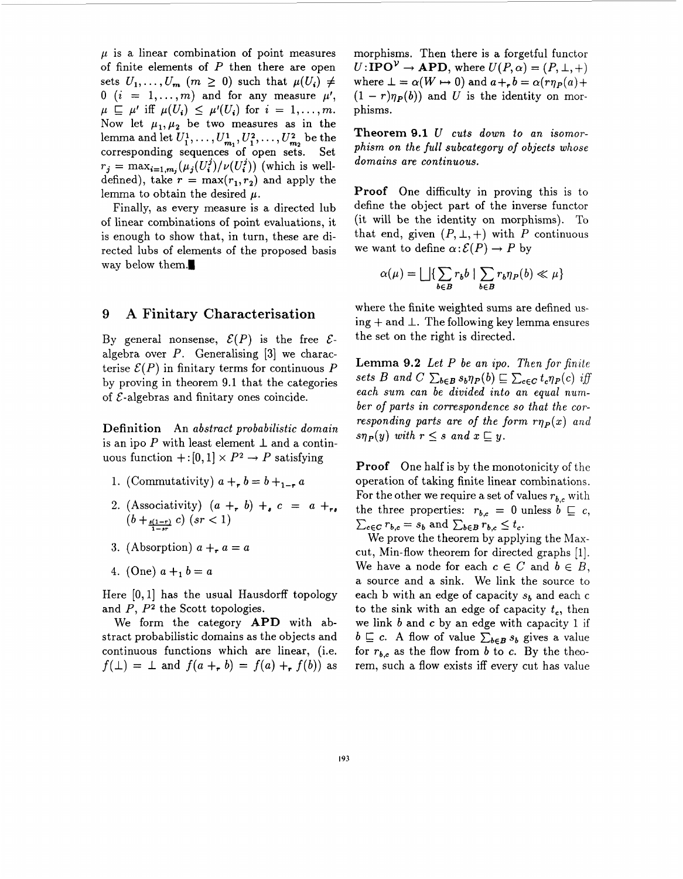$\mu$  is a linear combination of point measures of finite elements of *P* then there are open sets  $U_1, \ldots, U_m$   $(m \geq 0)$  such that  $\mu(U_i) \neq$  $0$   $(i = 1, ..., m)$  and for any measure  $\mu'$ ,  $\mu \subseteq \mu'$  iff  $\mu(U_i) \leq \mu'(U_i)$  for  $i = 1, \ldots, m$ . Now let  $\mu_1, \mu_2$  be two measures as in the lemma and let  $U_1^1, \ldots, U_{m_1}^1, U_1^2, \ldots, U_{m_2}^2$  be the corresponding sequences of open sets. Set  $r_j = \max_{i=1,m_j} (\mu_j(U_i^j)/\nu(U_i^j))$  (which is welldefined), take  $r = \max(r_1, r_2)$  and apply the lemma to obtain the desired  $\mu$ .

Finally, as every measure is a directed lub of linear combinations of point evaluations, it is enough to show that, in turn, these are directed lubs of elements of the proposed basis way below them.

#### **9 A Finitary Characterisation**

By general nonsense,  $\mathcal{E}(P)$  is the free  $\mathcal{E}$ algebra over *P.* Generalising **[3]** we characterise  $\mathcal{E}(P)$  in finitary terms for continuous  $P$ by proving in theorem 9.1 that the categories of  $\mathcal{E}$ -algebras and finitary ones coincide.

**Definition** An *abstract probabilistic domain*  is an ipo  $P$  with least element  $\perp$  and a continuous function  $+: [0,1] \times P^2 \rightarrow P$  satisfying

- 1. (Commutativity)  $a + b = b + b + a$
- 2. (Associativity)  $(a + b) + c = a + b$  $(b + \frac{s(1-r)}{1-sr} c)$   $(sr < 1)$
- 3. (Absorption)  $a + a = a$
- 4. (One)  $a + b = a$

Here  $[0,1]$  has the usual Hausdorff topology and *P, P2* the Scott topologies.

We form the category **APD** with abstract probabilistic domains as the objects and continuous functions which are linear, (i.e.  $f(\perp) = \perp$  and  $f(a + h) = f(a) + f(b)$  as morphisms. Then there is a forgetful functor  $U: \text{IPO}^{\mathcal{V}} \to \text{APD}$ , where  $U(P, \alpha) = (P, \perp, +)$ where  $\bot = \alpha(W \mapsto 0)$  and  $a +_r b = \alpha(r \eta_P(a) +$  $(1 - r)\eta_P(b)$  and U is the identity on morphisms.

**Theorem 9.1** *U cuts down to an isomorphism on the full subcategory* of *objects whose domains are continuous.* 

**Proof** One difficulty in proving this is to define the object part of the inverse functor (it will be the identity on morphisms). To that end, given  $(P, \perp, +)$  with P continuous we want to define  $\alpha$ :  $\mathcal{E}(P) \rightarrow P$  by

$$
\alpha(\mu) = \bigsqcup \{ \sum_{b \in B} r_b b \mid \sum_{b \in B} r_b \eta_P(b) \ll \mu \}
$$

where the finite weighted sums are defined using  $+$  and  $\perp$ . The following key lemma ensures the set on the right is directed.

**Lemma 9.2** *Let P be an ipo. Then for finite sets B and C*  $\sum_{b \in B} s_b \eta_P(b) \sqsubseteq \sum_{c \in C} t_c \eta_P(c)$  *iff each sum can be divided into an equal number of parts in correspondence so that the corresponding parts are of the form*  $r\eta_P(x)$  *and*  $s\eta_P(y)$  *with*  $r \leq s$  *and*  $x \sqsubseteq y$ .

**Proof** One half is by the monotonicity of the operation of taking finite linear combinations. For the other we require a set of values  $r_{b,c}$  with the three properties:  $r_{b,c} = 0$  unless  $b \subseteq c$ ,  $\sum_{c \in C} r_{b,c} = s_b$  and  $\sum_{b \in B} r_{b,c} \leq t_c$ .

We prove the theorem by applying the Maxcut, Min-flow theorem for directed graphs [l]. We have a node for each  $c \in C$  and  $b \in B$ , a source and a sink. We link the source to each b with an edge of capacity  $s_b$  and each c to the sink with an edge of capacity  $t_c$ , then we link *b* and *c* by an edge with capacity 1 if  $b \subseteq c$ . A flow of value  $\sum_{b \in B} s_b$  gives a value for  $r_{b,c}$  as the flow from *b* to *c*. By the theorem, such a flow exists iff every cut has value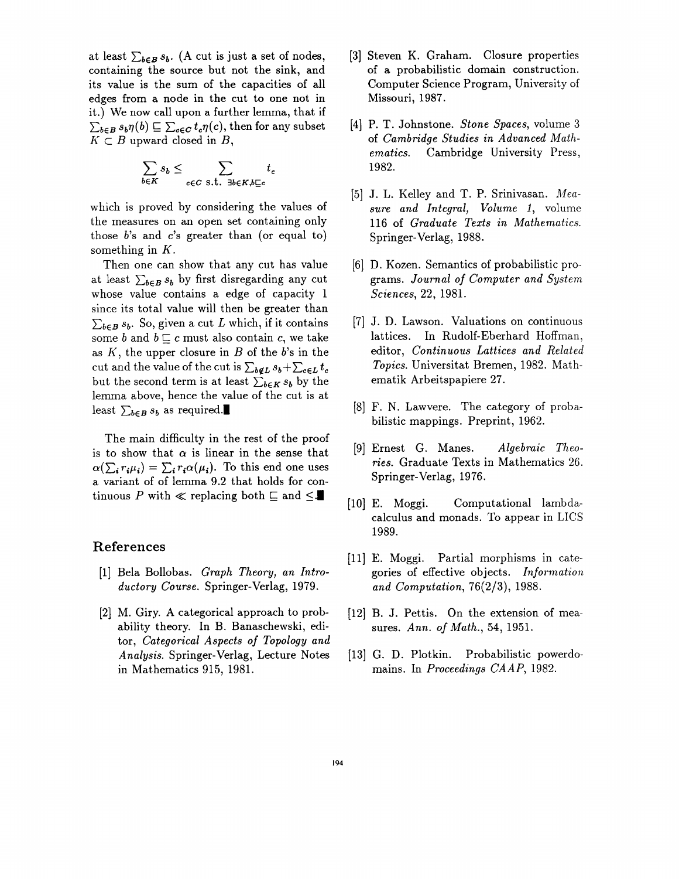at least  $\sum_{b \in B} s_b$ . (A cut is just a set of nodes, containing the source but not the sink, and its value is the sum of the capacities of all edges from a node in the cut to one not in it.) We now call upon a further lemma, that if  $K \subset B$  upward closed in  $B$ ,  $\sum_{b \in B} s_b \eta(b) \sqsubseteq \sum_{c \in C} t_c \eta(c)$ , then for any subset

$$
\sum_{b \in K} s_b \le \sum_{c \in C \text{ s.t. } \exists b \in K, b \sqsubseteq c} t_c
$$

which is proved by considering the values of the measures on an open set containing only those *b's* and *c's* greater than (or equal to) something in  $K$ .

Then one can show that any cut has value at least  $\sum_{b \in B} s_b$  by first disregarding any cut whose value contains a edge of capacity 1 since its total value will then be greater than  $\sum_{b \in B} s_b$ . So, given a cut *L* which, if it contains some *b* and  $b \sqsubseteq c$  must also contain *c*, we take as *A',* the upper closure in *B* of the *b's* in the cut and the value of the cut is  $\sum_{b \notin L} s_b + \sum_{c \in L} t_c$ but the second term is at least  $\sum_{b \in K} s_b$  by the lemma above, hence the value of the cut is at least  $\sum_{b \in B} s_b$  as required.

The main difficulty in the rest of the proof is to show that  $\alpha$  is linear in the sense that  $\alpha(\sum_i r_i \mu_i) = \sum_i r_i \alpha(\mu_i)$ . To this end one uses a variant of of lemma 9.2 that holds for continuous P with  $\ll$  replacing both  $\sqsubseteq$  and  $\leq$ .

#### **References**

- [l] Bela Bollobas. *Graph Theory, an Introductory Course.* Springer-Verlag, 1979.
- [2] M. Giry. A categorical approach to probability theory. In B. Banaschewski, editor, *Categorical Aspects* of *Topology and Analysis.* Springer-Verlag, Lecture Notes in Mathematics 915, 1981.
- [3] Steven K. Graham. Closure properties of a probabilistic domain construction. Computer Science Program, University of Missouri, 1987.
- **[4]** P. T. Johnstone. *Stone Spaces,* volume **3**  of *Cambridge Studies in Advanced Mathematics.* Cambridge University Press, 1982.
- [5] J. L. Kelley and T. P. Srinivasan. *Mensure and Integral, Volume 1,* volume 116 of *Graduate Texts in Mathematics.*  Springer-Verlag, 1988.
- [6] D. Kozen. Semantics of probabilistic programs. *Journal* of *Computer and System Sciences,* 22, 1981.
- [7] J. D. Lawson. Valuations on continuous lattices. In Rudolf-Eberhard Hoffman, editor, *Continuous Lattices and Related Topics.* Universitat Bremen, 1982. Mathematik Arbeitspapiere 27.
- [8] F. N. Lawvere. The category of probabilistic mappings. Preprint, 1962.
- [9] Ernest G. Manes. *Algebraic Theories.* Graduate Texts in Mathematics 26. Springer-Verlag, 1976.
- [lo] E. Moggi. Computational lambdacalculus and monads. To appear in LICS 1989.
- [ll] E. Moggi. Partial morphisms in categories of effective objects. *Information and Computation,* 76(2/3), 1988.
- [12] B. J. Pettis. On the extension of measures. *Ann.* of *Math.,* **54,** 1951.
- [13] G. **D.** Plotkin. Probabilistic powerdomains. In *Proceedings CAAP,* 1982.